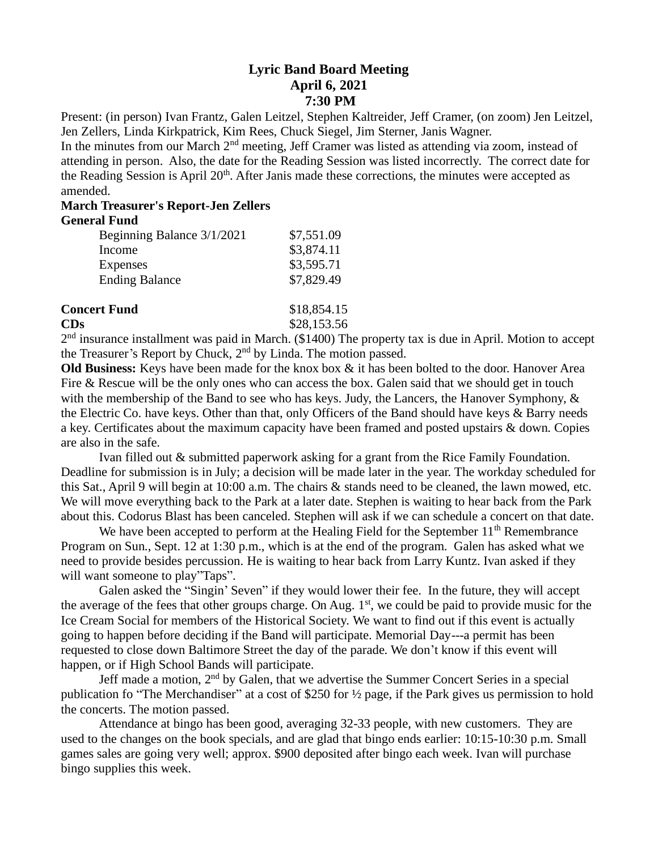## **Lyric Band Board Meeting April 6, 2021 7:30 PM**

Present: (in person) Ivan Frantz, Galen Leitzel, Stephen Kaltreider, Jeff Cramer, (on zoom) Jen Leitzel, Jen Zellers, Linda Kirkpatrick, Kim Rees, Chuck Siegel, Jim Sterner, Janis Wagner.

In the minutes from our March 2<sup>nd</sup> meeting, Jeff Cramer was listed as attending via zoom, instead of attending in person. Also, the date for the Reading Session was listed incorrectly. The correct date for the Reading Session is April 20<sup>th</sup>. After Janis made these corrections, the minutes were accepted as amended.

## **March Treasurer's Report-Jen Zellers**

## **General Fund**

| Beginning Balance 3/1/2021 | \$7,551.09 |
|----------------------------|------------|
| Income                     | \$3,874.11 |
| Expenses                   | \$3,595.71 |
| <b>Ending Balance</b>      | \$7,829.49 |
|                            |            |

| <b>Concert Fund</b> | \$18,854.15 |
|---------------------|-------------|
| CDs                 | \$28,153.56 |
|                     |             |

2<sup>nd</sup> insurance installment was paid in March. (\$1400) The property tax is due in April. Motion to accept the Treasurer's Report by Chuck, 2nd by Linda. The motion passed.

**Old Business:** Keys have been made for the knox box & it has been bolted to the door. Hanover Area Fire & Rescue will be the only ones who can access the box. Galen said that we should get in touch with the membership of the Band to see who has keys. Judy, the Lancers, the Hanover Symphony,  $\&$ the Electric Co. have keys. Other than that, only Officers of the Band should have keys & Barry needs a key. Certificates about the maximum capacity have been framed and posted upstairs & down. Copies are also in the safe.

Ivan filled out & submitted paperwork asking for a grant from the Rice Family Foundation. Deadline for submission is in July; a decision will be made later in the year. The workday scheduled for this Sat., April 9 will begin at 10:00 a.m. The chairs & stands need to be cleaned, the lawn mowed, etc. We will move everything back to the Park at a later date. Stephen is waiting to hear back from the Park about this. Codorus Blast has been canceled. Stephen will ask if we can schedule a concert on that date.

We have been accepted to perform at the Healing Field for the September  $11<sup>th</sup>$  Remembrance Program on Sun., Sept. 12 at 1:30 p.m., which is at the end of the program. Galen has asked what we need to provide besides percussion. He is waiting to hear back from Larry Kuntz. Ivan asked if they will want someone to play"Taps".

Galen asked the "Singin' Seven" if they would lower their fee. In the future, they will accept the average of the fees that other groups charge. On Aug.  $1<sup>st</sup>$ , we could be paid to provide music for the Ice Cream Social for members of the Historical Society. We want to find out if this event is actually going to happen before deciding if the Band will participate. Memorial Day---a permit has been requested to close down Baltimore Street the day of the parade. We don't know if this event will happen, or if High School Bands will participate.

Jeff made a motion, 2<sup>nd</sup> by Galen, that we advertise the Summer Concert Series in a special publication fo "The Merchandiser" at a cost of \$250 for ½ page, if the Park gives us permission to hold the concerts. The motion passed.

Attendance at bingo has been good, averaging 32-33 people, with new customers. They are used to the changes on the book specials, and are glad that bingo ends earlier: 10:15-10:30 p.m. Small games sales are going very well; approx. \$900 deposited after bingo each week. Ivan will purchase bingo supplies this week.